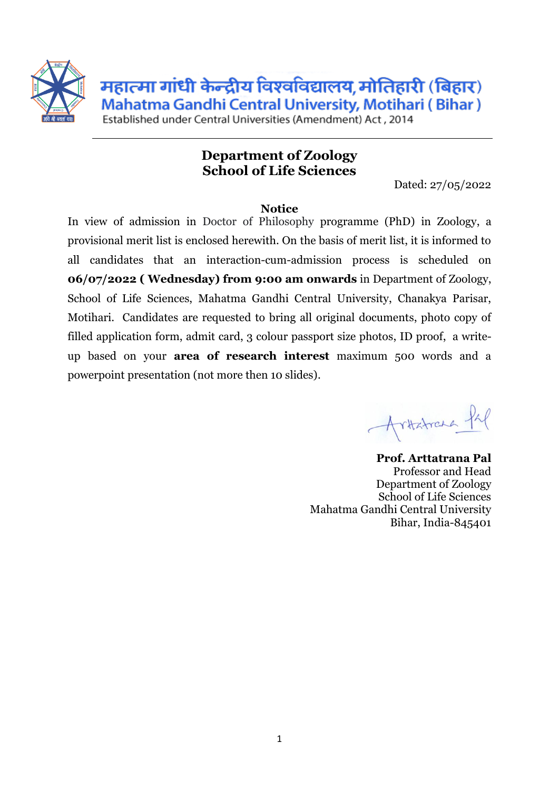

महात्मा गांधी केन्द्रीय विश्वविद्यालय, मोतिहारी (बिहार) Mahatma Gandhi Central University, Motihari (Bihar)

Established under Central Universities (Amendment) Act. 2014

## **Department of Zoology School of Life Sciences**

Dated: 27/05/2022

## **Notice**

In view of admission in Doctor of Philosophy programme (PhD) in Zoology, a provisional merit list is enclosed herewith. On the basis of merit list, it is informed to all candidates that an interaction-cum-admission process is scheduled on **06/07/2022 ( Wednesday) from 9:00 am onwards** in Department of Zoology, School of Life Sciences, Mahatma Gandhi Central University, Chanakya Parisar, Motihari. Candidates are requested to bring all original documents, photo copy of filled application form, admit card, 3 colour passport size photos, ID proof, a writeup based on your **area of research interest** maximum 500 words and a powerpoint presentation (not more then 10 slides).

ritatrana Pap

**Prof. Arttatrana Pal** Professor and Head Department of Zoology School of Life Sciences Mahatma Gandhi Central University Bihar, India-845401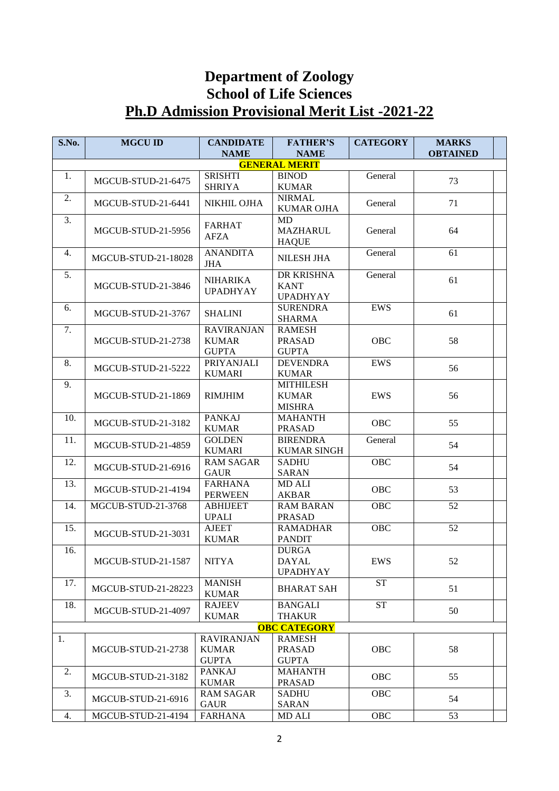## **Department of Zoology School of Life Sciences Ph.D Admission Provisional Merit List -2021-22**

| S.No.                | <b>MGCU ID</b>            | <b>CANDIDATE</b><br><b>NAME</b>    | <b>FATHER'S</b><br><b>NAME</b>   | <b>CATEGORY</b> | <b>MARKS</b><br><b>OBTAINED</b> |  |  |  |  |  |  |
|----------------------|---------------------------|------------------------------------|----------------------------------|-----------------|---------------------------------|--|--|--|--|--|--|
| <b>GENERAL MERIT</b> |                           |                                    |                                  |                 |                                 |  |  |  |  |  |  |
| 1.                   |                           | <b>SRISHTI</b>                     | <b>BINOD</b>                     | General         |                                 |  |  |  |  |  |  |
|                      | MGCUB-STUD-21-6475        | <b>SHRIYA</b>                      | <b>KUMAR</b>                     |                 | 73                              |  |  |  |  |  |  |
| 2.                   |                           |                                    | <b>NIRMAL</b>                    |                 |                                 |  |  |  |  |  |  |
|                      | MGCUB-STUD-21-6441        | NIKHIL OJHA                        | <b>KUMAR OJHA</b>                | General         | 71                              |  |  |  |  |  |  |
| 3.                   |                           |                                    | <b>MD</b>                        |                 |                                 |  |  |  |  |  |  |
|                      | <b>MGCUB-STUD-21-5956</b> | <b>FARHAT</b>                      | <b>MAZHARUL</b>                  | General         | 64                              |  |  |  |  |  |  |
|                      |                           | <b>AFZA</b>                        | <b>HAQUE</b>                     |                 |                                 |  |  |  |  |  |  |
| 4.                   | MGCUB-STUD-21-18028       | <b>ANANDITA</b>                    | <b>NILESH JHA</b>                | General         | 61                              |  |  |  |  |  |  |
|                      |                           | <b>JHA</b>                         |                                  |                 |                                 |  |  |  |  |  |  |
| 5.                   | MGCUB-STUD-21-3846        | <b>NIHARIKA</b><br><b>UPADHYAY</b> | DR KRISHNA                       | General         | 61                              |  |  |  |  |  |  |
|                      |                           |                                    | <b>KANT</b>                      |                 |                                 |  |  |  |  |  |  |
|                      |                           |                                    | <b>UPADHYAY</b>                  |                 |                                 |  |  |  |  |  |  |
| 6.                   | MGCUB-STUD-21-3767        | <b>SHALINI</b>                     | <b>SURENDRA</b>                  | <b>EWS</b>      | 61                              |  |  |  |  |  |  |
|                      |                           |                                    | <b>SHARMA</b>                    |                 |                                 |  |  |  |  |  |  |
| 7.                   |                           | <b>RAVIRANJAN</b>                  | <b>RAMESH</b>                    |                 |                                 |  |  |  |  |  |  |
|                      | MGCUB-STUD-21-2738        | <b>KUMAR</b>                       | <b>PRASAD</b>                    | <b>OBC</b>      | 58                              |  |  |  |  |  |  |
|                      |                           | <b>GUPTA</b><br><b>PRIYANJALI</b>  | <b>GUPTA</b>                     |                 |                                 |  |  |  |  |  |  |
| 8.                   | <b>MGCUB-STUD-21-5222</b> |                                    | <b>DEVENDRA</b>                  | <b>EWS</b>      | 56                              |  |  |  |  |  |  |
| 9.                   |                           | <b>KUMARI</b>                      | <b>KUMAR</b><br><b>MITHILESH</b> |                 |                                 |  |  |  |  |  |  |
|                      |                           | <b>RIMJHIM</b>                     | <b>KUMAR</b>                     | EWS             |                                 |  |  |  |  |  |  |
|                      | MGCUB-STUD-21-1869        |                                    | <b>MISHRA</b>                    |                 | 56                              |  |  |  |  |  |  |
| 10.                  |                           | <b>PANKAJ</b>                      | <b>MAHANTH</b>                   |                 |                                 |  |  |  |  |  |  |
|                      | MGCUB-STUD-21-3182        | <b>KUMAR</b>                       | <b>PRASAD</b>                    | OBC             | 55                              |  |  |  |  |  |  |
| 11.                  |                           | <b>GOLDEN</b>                      | <b>BIRENDRA</b>                  | General         |                                 |  |  |  |  |  |  |
|                      | MGCUB-STUD-21-4859        | <b>KUMARI</b>                      | <b>KUMAR SINGH</b>               |                 | 54                              |  |  |  |  |  |  |
| 12.                  |                           | <b>RAM SAGAR</b>                   | <b>SADHU</b>                     | OBC             |                                 |  |  |  |  |  |  |
|                      | MGCUB-STUD-21-6916        | <b>GAUR</b>                        | <b>SARAN</b>                     |                 | 54                              |  |  |  |  |  |  |
| 13.                  |                           | <b>FARHANA</b>                     | MD ALI                           |                 |                                 |  |  |  |  |  |  |
|                      | MGCUB-STUD-21-4194        | <b>PERWEEN</b>                     | <b>AKBAR</b>                     | OBC             | 53                              |  |  |  |  |  |  |
| 14.                  | MGCUB-STUD-21-3768        | <b>ABHIJEET</b>                    | <b>RAM BARAN</b>                 | OBC             | 52                              |  |  |  |  |  |  |
|                      |                           | <b>UPALI</b>                       | <b>PRASAD</b>                    |                 |                                 |  |  |  |  |  |  |
| 15.                  | MGCUB-STUD-21-3031        | <b>AJEET</b>                       | <b>RAMADHAR</b>                  | OBC             | 52                              |  |  |  |  |  |  |
|                      |                           | <b>KUMAR</b>                       | <b>PANDIT</b>                    |                 |                                 |  |  |  |  |  |  |
| 16.                  |                           |                                    | <b>DURGA</b>                     |                 |                                 |  |  |  |  |  |  |
|                      | MGCUB-STUD-21-1587        | <b>NITYA</b>                       | <b>DAYAL</b>                     | <b>EWS</b>      | 52                              |  |  |  |  |  |  |
|                      |                           |                                    | <b>UPADHYAY</b>                  |                 |                                 |  |  |  |  |  |  |
| 17.                  | MGCUB-STUD-21-28223       | <b>MANISH</b>                      | <b>BHARAT SAH</b>                | <b>ST</b>       | 51                              |  |  |  |  |  |  |
|                      |                           | <b>KUMAR</b>                       |                                  |                 |                                 |  |  |  |  |  |  |
| 18.                  | MGCUB-STUD-21-4097        | <b>RAJEEV</b>                      | <b>BANGALI</b>                   | <b>ST</b>       | 50                              |  |  |  |  |  |  |
|                      |                           | <b>KUMAR</b>                       | <b>THAKUR</b>                    |                 |                                 |  |  |  |  |  |  |
|                      |                           |                                    | <b>OBC CATEGORY</b>              |                 |                                 |  |  |  |  |  |  |
| 1.                   |                           | <b>RAVIRANJAN</b>                  | <b>RAMESH</b>                    |                 |                                 |  |  |  |  |  |  |
|                      | MGCUB-STUD-21-2738        | <b>KUMAR</b><br><b>GUPTA</b>       | <b>PRASAD</b><br><b>GUPTA</b>    | OBC             | 58                              |  |  |  |  |  |  |
|                      |                           | <b>PANKAJ</b>                      |                                  |                 |                                 |  |  |  |  |  |  |
| 2.                   | MGCUB-STUD-21-3182        | <b>KUMAR</b>                       | <b>MAHANTH</b><br><b>PRASAD</b>  | OBC             | 55                              |  |  |  |  |  |  |
| 3.                   |                           | <b>RAM SAGAR</b>                   | <b>SADHU</b>                     | OBC             |                                 |  |  |  |  |  |  |
|                      | MGCUB-STUD-21-6916        | <b>GAUR</b>                        | <b>SARAN</b>                     |                 | 54                              |  |  |  |  |  |  |
| 4.                   | MGCUB-STUD-21-4194        | <b>FARHANA</b>                     | MD ALI                           | OBC             | 53                              |  |  |  |  |  |  |
|                      |                           |                                    |                                  |                 |                                 |  |  |  |  |  |  |